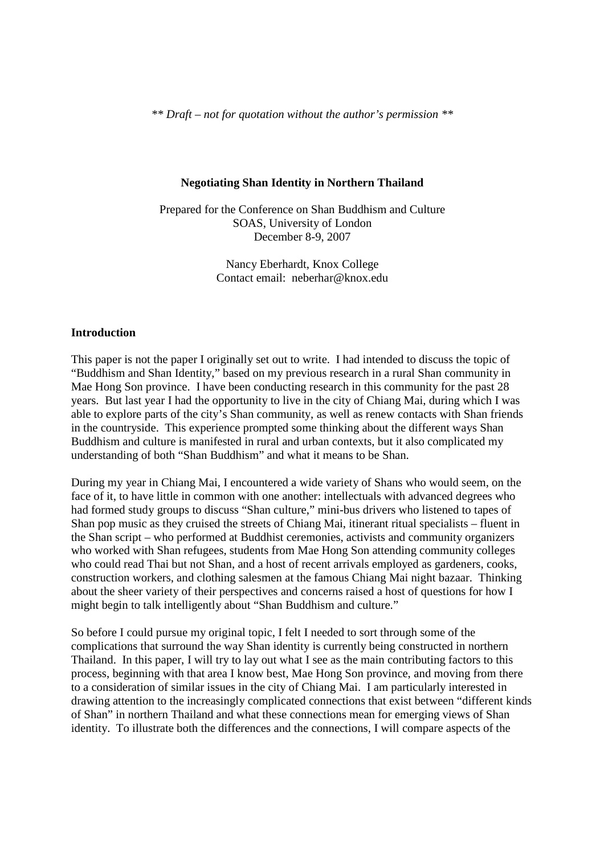*\*\* Draft – not for quotation without the author's permission \*\** 

# **Negotiating Shan Identity in Northern Thailand**

Prepared for the Conference on Shan Buddhism and Culture SOAS, University of London December 8-9, 2007

> Nancy Eberhardt, Knox College Contact email: neberhar@knox.edu

## **Introduction**

This paper is not the paper I originally set out to write. I had intended to discuss the topic of "Buddhism and Shan Identity," based on my previous research in a rural Shan community in Mae Hong Son province. I have been conducting research in this community for the past 28 years. But last year I had the opportunity to live in the city of Chiang Mai, during which I was able to explore parts of the city's Shan community, as well as renew contacts with Shan friends in the countryside. This experience prompted some thinking about the different ways Shan Buddhism and culture is manifested in rural and urban contexts, but it also complicated my understanding of both "Shan Buddhism" and what it means to be Shan.

During my year in Chiang Mai, I encountered a wide variety of Shans who would seem, on the face of it, to have little in common with one another: intellectuals with advanced degrees who had formed study groups to discuss "Shan culture," mini-bus drivers who listened to tapes of Shan pop music as they cruised the streets of Chiang Mai, itinerant ritual specialists – fluent in the Shan script – who performed at Buddhist ceremonies, activists and community organizers who worked with Shan refugees, students from Mae Hong Son attending community colleges who could read Thai but not Shan, and a host of recent arrivals employed as gardeners, cooks, construction workers, and clothing salesmen at the famous Chiang Mai night bazaar. Thinking about the sheer variety of their perspectives and concerns raised a host of questions for how I might begin to talk intelligently about "Shan Buddhism and culture."

So before I could pursue my original topic, I felt I needed to sort through some of the complications that surround the way Shan identity is currently being constructed in northern Thailand. In this paper, I will try to lay out what I see as the main contributing factors to this process, beginning with that area I know best, Mae Hong Son province, and moving from there to a consideration of similar issues in the city of Chiang Mai. I am particularly interested in drawing attention to the increasingly complicated connections that exist between "different kinds of Shan" in northern Thailand and what these connections mean for emerging views of Shan identity. To illustrate both the differences and the connections, I will compare aspects of the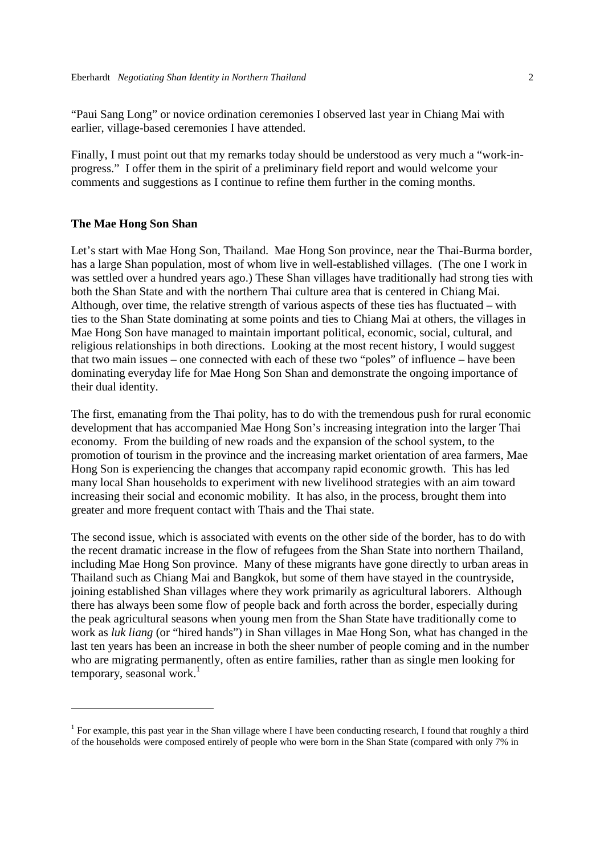"Paui Sang Long" or novice ordination ceremonies I observed last year in Chiang Mai with earlier, village-based ceremonies I have attended.

Finally, I must point out that my remarks today should be understood as very much a "work-inprogress." I offer them in the spirit of a preliminary field report and would welcome your comments and suggestions as I continue to refine them further in the coming months.

### **The Mae Hong Son Shan**

-

Let's start with Mae Hong Son, Thailand. Mae Hong Son province, near the Thai-Burma border, has a large Shan population, most of whom live in well-established villages. (The one I work in was settled over a hundred years ago.) These Shan villages have traditionally had strong ties with both the Shan State and with the northern Thai culture area that is centered in Chiang Mai. Although, over time, the relative strength of various aspects of these ties has fluctuated – with ties to the Shan State dominating at some points and ties to Chiang Mai at others, the villages in Mae Hong Son have managed to maintain important political, economic, social, cultural, and religious relationships in both directions. Looking at the most recent history, I would suggest that two main issues – one connected with each of these two "poles" of influence – have been dominating everyday life for Mae Hong Son Shan and demonstrate the ongoing importance of their dual identity.

The first, emanating from the Thai polity, has to do with the tremendous push for rural economic development that has accompanied Mae Hong Son's increasing integration into the larger Thai economy. From the building of new roads and the expansion of the school system, to the promotion of tourism in the province and the increasing market orientation of area farmers, Mae Hong Son is experiencing the changes that accompany rapid economic growth. This has led many local Shan households to experiment with new livelihood strategies with an aim toward increasing their social and economic mobility. It has also, in the process, brought them into greater and more frequent contact with Thais and the Thai state.

The second issue, which is associated with events on the other side of the border, has to do with the recent dramatic increase in the flow of refugees from the Shan State into northern Thailand, including Mae Hong Son province. Many of these migrants have gone directly to urban areas in Thailand such as Chiang Mai and Bangkok, but some of them have stayed in the countryside, joining established Shan villages where they work primarily as agricultural laborers. Although there has always been some flow of people back and forth across the border, especially during the peak agricultural seasons when young men from the Shan State have traditionally come to work as *luk liang* (or "hired hands") in Shan villages in Mae Hong Son, what has changed in the last ten years has been an increase in both the sheer number of people coming and in the number who are migrating permanently, often as entire families, rather than as single men looking for temporary, seasonal work. $1$ 

<sup>&</sup>lt;sup>1</sup> For example, this past year in the Shan village where I have been conducting research, I found that roughly a third of the households were composed entirely of people who were born in the Shan State (compared with only 7% in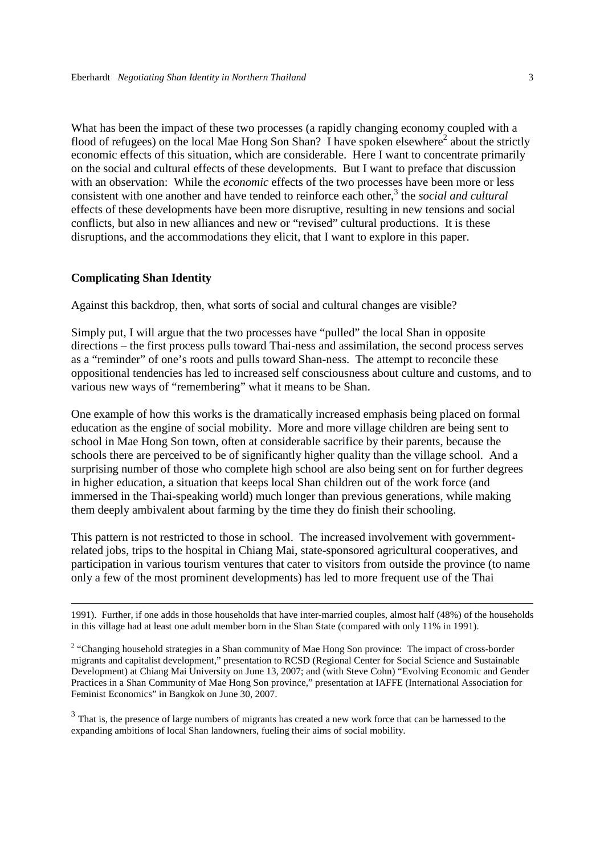What has been the impact of these two processes (a rapidly changing economy coupled with a flood of refugees) on the local Mae Hong Son Shan? I have spoken elsewhere<sup>2</sup> about the strictly economic effects of this situation, which are considerable. Here I want to concentrate primarily on the social and cultural effects of these developments. But I want to preface that discussion with an observation: While the *economic* effects of the two processes have been more or less consistent with one another and have tended to reinforce each other,<sup>3</sup> the *social and cultural* effects of these developments have been more disruptive, resulting in new tensions and social conflicts, but also in new alliances and new or "revised" cultural productions. It is these disruptions, and the accommodations they elicit, that I want to explore in this paper.

#### **Complicating Shan Identity**

-

Against this backdrop, then, what sorts of social and cultural changes are visible?

Simply put, I will argue that the two processes have "pulled" the local Shan in opposite directions – the first process pulls toward Thai-ness and assimilation, the second process serves as a "reminder" of one's roots and pulls toward Shan-ness. The attempt to reconcile these oppositional tendencies has led to increased self consciousness about culture and customs, and to various new ways of "remembering" what it means to be Shan.

One example of how this works is the dramatically increased emphasis being placed on formal education as the engine of social mobility. More and more village children are being sent to school in Mae Hong Son town, often at considerable sacrifice by their parents, because the schools there are perceived to be of significantly higher quality than the village school. And a surprising number of those who complete high school are also being sent on for further degrees in higher education, a situation that keeps local Shan children out of the work force (and immersed in the Thai-speaking world) much longer than previous generations, while making them deeply ambivalent about farming by the time they do finish their schooling.

This pattern is not restricted to those in school. The increased involvement with governmentrelated jobs, trips to the hospital in Chiang Mai, state-sponsored agricultural cooperatives, and participation in various tourism ventures that cater to visitors from outside the province (to name only a few of the most prominent developments) has led to more frequent use of the Thai

<sup>1991).</sup> Further, if one adds in those households that have inter-married couples, almost half (48%) of the households in this village had at least one adult member born in the Shan State (compared with only 11% in 1991).

<sup>&</sup>lt;sup>2</sup> "Changing household strategies in a Shan community of Mae Hong Son province: The impact of cross-border migrants and capitalist development," presentation to RCSD (Regional Center for Social Science and Sustainable Development) at Chiang Mai University on June 13, 2007; and (with Steve Cohn) "Evolving Economic and Gender Practices in a Shan Community of Mae Hong Son province," presentation at IAFFE (International Association for Feminist Economics" in Bangkok on June 30, 2007.

<sup>&</sup>lt;sup>3</sup> That is, the presence of large numbers of migrants has created a new work force that can be harnessed to the expanding ambitions of local Shan landowners, fueling their aims of social mobility.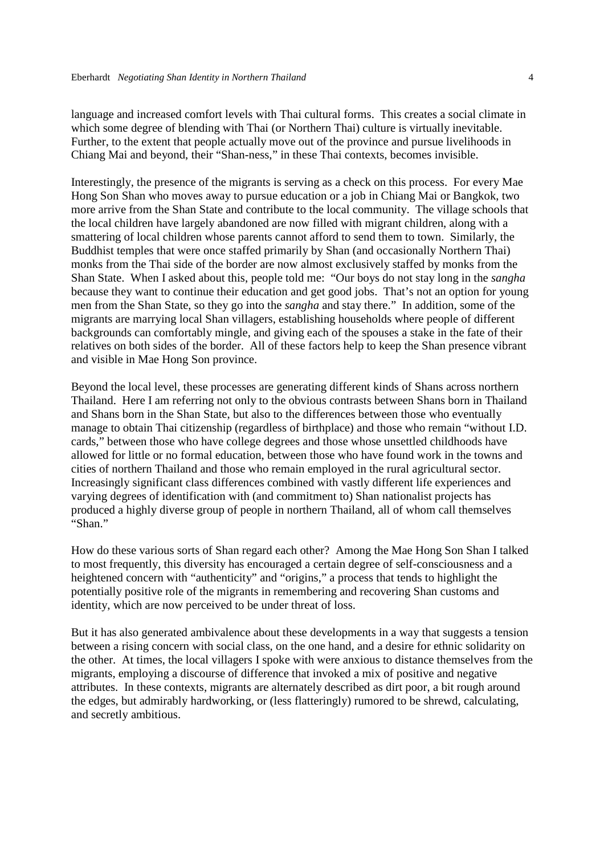language and increased comfort levels with Thai cultural forms. This creates a social climate in which some degree of blending with Thai (or Northern Thai) culture is virtually inevitable. Further, to the extent that people actually move out of the province and pursue livelihoods in Chiang Mai and beyond, their "Shan-ness," in these Thai contexts, becomes invisible.

Interestingly, the presence of the migrants is serving as a check on this process. For every Mae Hong Son Shan who moves away to pursue education or a job in Chiang Mai or Bangkok, two more arrive from the Shan State and contribute to the local community. The village schools that the local children have largely abandoned are now filled with migrant children, along with a smattering of local children whose parents cannot afford to send them to town. Similarly, the Buddhist temples that were once staffed primarily by Shan (and occasionally Northern Thai) monks from the Thai side of the border are now almost exclusively staffed by monks from the Shan State. When I asked about this, people told me: "Our boys do not stay long in the *sangha* because they want to continue their education and get good jobs. That's not an option for young men from the Shan State, so they go into the *sangha* and stay there." In addition, some of the migrants are marrying local Shan villagers, establishing households where people of different backgrounds can comfortably mingle, and giving each of the spouses a stake in the fate of their relatives on both sides of the border. All of these factors help to keep the Shan presence vibrant and visible in Mae Hong Son province.

Beyond the local level, these processes are generating different kinds of Shans across northern Thailand. Here I am referring not only to the obvious contrasts between Shans born in Thailand and Shans born in the Shan State, but also to the differences between those who eventually manage to obtain Thai citizenship (regardless of birthplace) and those who remain "without I.D. cards," between those who have college degrees and those whose unsettled childhoods have allowed for little or no formal education, between those who have found work in the towns and cities of northern Thailand and those who remain employed in the rural agricultural sector. Increasingly significant class differences combined with vastly different life experiences and varying degrees of identification with (and commitment to) Shan nationalist projects has produced a highly diverse group of people in northern Thailand, all of whom call themselves "Shan."

How do these various sorts of Shan regard each other? Among the Mae Hong Son Shan I talked to most frequently, this diversity has encouraged a certain degree of self-consciousness and a heightened concern with "authenticity" and "origins," a process that tends to highlight the potentially positive role of the migrants in remembering and recovering Shan customs and identity, which are now perceived to be under threat of loss.

But it has also generated ambivalence about these developments in a way that suggests a tension between a rising concern with social class, on the one hand, and a desire for ethnic solidarity on the other. At times, the local villagers I spoke with were anxious to distance themselves from the migrants, employing a discourse of difference that invoked a mix of positive and negative attributes. In these contexts, migrants are alternately described as dirt poor, a bit rough around the edges, but admirably hardworking, or (less flatteringly) rumored to be shrewd, calculating, and secretly ambitious.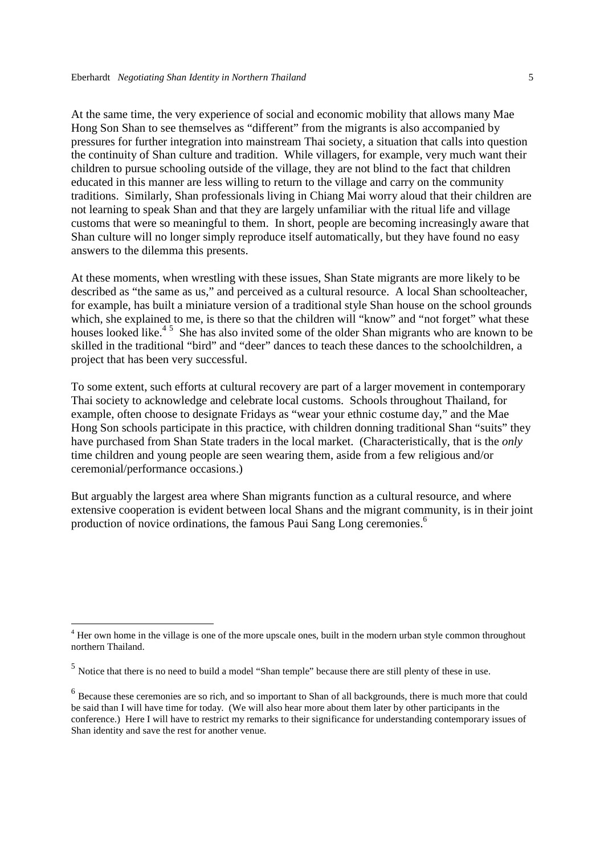At the same time, the very experience of social and economic mobility that allows many Mae Hong Son Shan to see themselves as "different" from the migrants is also accompanied by pressures for further integration into mainstream Thai society, a situation that calls into question the continuity of Shan culture and tradition. While villagers, for example, very much want their children to pursue schooling outside of the village, they are not blind to the fact that children educated in this manner are less willing to return to the village and carry on the community traditions. Similarly, Shan professionals living in Chiang Mai worry aloud that their children are not learning to speak Shan and that they are largely unfamiliar with the ritual life and village customs that were so meaningful to them. In short, people are becoming increasingly aware that Shan culture will no longer simply reproduce itself automatically, but they have found no easy answers to the dilemma this presents.

At these moments, when wrestling with these issues, Shan State migrants are more likely to be described as "the same as us," and perceived as a cultural resource. A local Shan schoolteacher, for example, has built a miniature version of a traditional style Shan house on the school grounds which, she explained to me, is there so that the children will "know" and "not forget" what these houses looked like.<sup>45</sup> She has also invited some of the older Shan migrants who are known to be skilled in the traditional "bird" and "deer" dances to teach these dances to the schoolchildren, a project that has been very successful.

To some extent, such efforts at cultural recovery are part of a larger movement in contemporary Thai society to acknowledge and celebrate local customs. Schools throughout Thailand, for example, often choose to designate Fridays as "wear your ethnic costume day," and the Mae Hong Son schools participate in this practice, with children donning traditional Shan "suits" they have purchased from Shan State traders in the local market. (Characteristically, that is the *only* time children and young people are seen wearing them, aside from a few religious and/or ceremonial/performance occasions.)

But arguably the largest area where Shan migrants function as a cultural resource, and where extensive cooperation is evident between local Shans and the migrant community, is in their joint production of novice ordinations, the famous Paui Sang Long ceremonies.<sup>6</sup>

<u>.</u>

<sup>&</sup>lt;sup>4</sup> Her own home in the village is one of the more upscale ones, built in the modern urban style common throughout northern Thailand.

<sup>&</sup>lt;sup>5</sup> Notice that there is no need to build a model "Shan temple" because there are still plenty of these in use.

<sup>&</sup>lt;sup>6</sup> Because these ceremonies are so rich, and so important to Shan of all backgrounds, there is much more that could be said than I will have time for today. (We will also hear more about them later by other participants in the conference.) Here I will have to restrict my remarks to their significance for understanding contemporary issues of Shan identity and save the rest for another venue.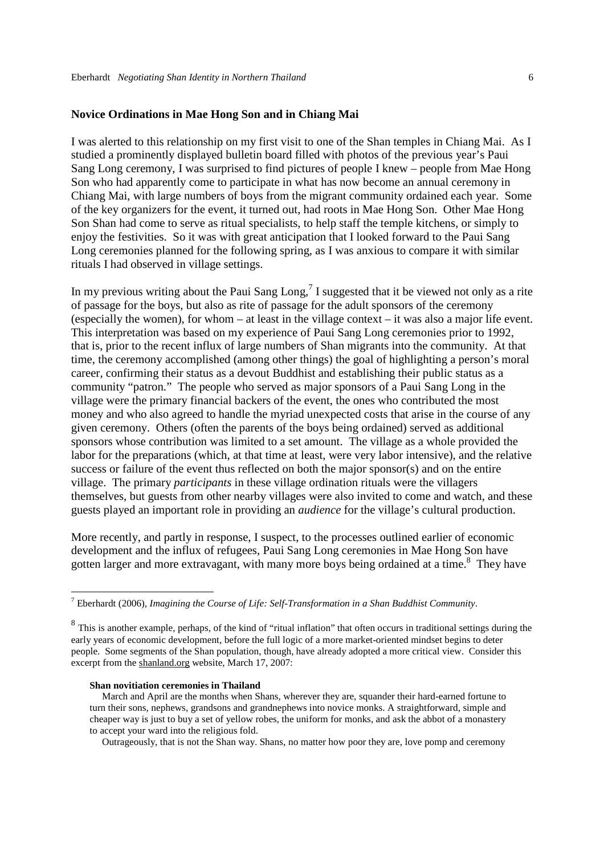### **Novice Ordinations in Mae Hong Son and in Chiang Mai**

I was alerted to this relationship on my first visit to one of the Shan temples in Chiang Mai. As I studied a prominently displayed bulletin board filled with photos of the previous year's Paui Sang Long ceremony, I was surprised to find pictures of people I knew – people from Mae Hong Son who had apparently come to participate in what has now become an annual ceremony in Chiang Mai, with large numbers of boys from the migrant community ordained each year. Some of the key organizers for the event, it turned out, had roots in Mae Hong Son. Other Mae Hong Son Shan had come to serve as ritual specialists, to help staff the temple kitchens, or simply to enjoy the festivities. So it was with great anticipation that I looked forward to the Paui Sang Long ceremonies planned for the following spring, as I was anxious to compare it with similar rituals I had observed in village settings.

In my previous writing about the Paui Sang Long,<sup>7</sup> I suggested that it be viewed not only as a rite of passage for the boys, but also as rite of passage for the adult sponsors of the ceremony (especially the women), for whom – at least in the village context – it was also a major life event. This interpretation was based on my experience of Paui Sang Long ceremonies prior to 1992, that is, prior to the recent influx of large numbers of Shan migrants into the community. At that time, the ceremony accomplished (among other things) the goal of highlighting a person's moral career, confirming their status as a devout Buddhist and establishing their public status as a community "patron." The people who served as major sponsors of a Paui Sang Long in the village were the primary financial backers of the event, the ones who contributed the most money and who also agreed to handle the myriad unexpected costs that arise in the course of any given ceremony. Others (often the parents of the boys being ordained) served as additional sponsors whose contribution was limited to a set amount. The village as a whole provided the labor for the preparations (which, at that time at least, were very labor intensive), and the relative success or failure of the event thus reflected on both the major sponsor(s) and on the entire village. The primary *participants* in these village ordination rituals were the villagers themselves, but guests from other nearby villages were also invited to come and watch, and these guests played an important role in providing an *audience* for the village's cultural production.

More recently, and partly in response, I suspect, to the processes outlined earlier of economic development and the influx of refugees, Paui Sang Long ceremonies in Mae Hong Son have gotten larger and more extravagant, with many more boys being ordained at a time.<sup>8</sup> They have

#### **Shan novitiation ceremonies in Thailand**

-

Outrageously, that is not the Shan way. Shans, no matter how poor they are, love pomp and ceremony

<sup>7</sup> Eberhardt (2006), *Imagining the Course of Life: Self-Transformation in a Shan Buddhist Community*.

<sup>&</sup>lt;sup>8</sup> This is another example, perhaps, of the kind of "ritual inflation" that often occurs in traditional settings during the early years of economic development, before the full logic of a more market-oriented mindset begins to deter people. Some segments of the Shan population, though, have already adopted a more critical view. Consider this excerpt from the shanland.org website, March 17, 2007:

March and April are the months when Shans, wherever they are, squander their hard-earned fortune to turn their sons, nephews, grandsons and grandnephews into novice monks. A straightforward, simple and cheaper way is just to buy a set of yellow robes, the uniform for monks, and ask the abbot of a monastery to accept your ward into the religious fold.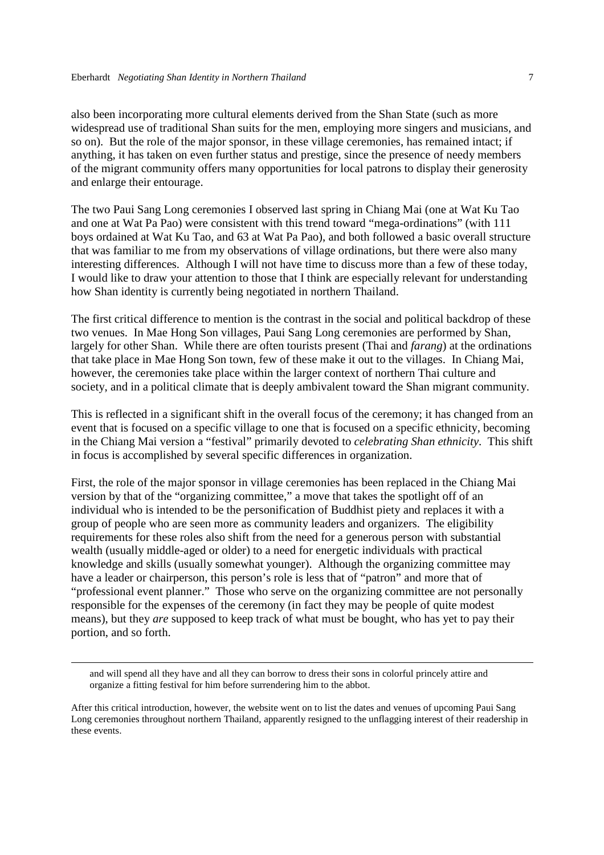also been incorporating more cultural elements derived from the Shan State (such as more widespread use of traditional Shan suits for the men, employing more singers and musicians, and so on). But the role of the major sponsor, in these village ceremonies, has remained intact; if anything, it has taken on even further status and prestige, since the presence of needy members of the migrant community offers many opportunities for local patrons to display their generosity and enlarge their entourage.

The two Paui Sang Long ceremonies I observed last spring in Chiang Mai (one at Wat Ku Tao and one at Wat Pa Pao) were consistent with this trend toward "mega-ordinations" (with 111 boys ordained at Wat Ku Tao, and 63 at Wat Pa Pao), and both followed a basic overall structure that was familiar to me from my observations of village ordinations, but there were also many interesting differences. Although I will not have time to discuss more than a few of these today, I would like to draw your attention to those that I think are especially relevant for understanding how Shan identity is currently being negotiated in northern Thailand.

The first critical difference to mention is the contrast in the social and political backdrop of these two venues. In Mae Hong Son villages, Paui Sang Long ceremonies are performed by Shan, largely for other Shan. While there are often tourists present (Thai and *farang*) at the ordinations that take place in Mae Hong Son town, few of these make it out to the villages. In Chiang Mai, however, the ceremonies take place within the larger context of northern Thai culture and society, and in a political climate that is deeply ambivalent toward the Shan migrant community.

This is reflected in a significant shift in the overall focus of the ceremony; it has changed from an event that is focused on a specific village to one that is focused on a specific ethnicity, becoming in the Chiang Mai version a "festival" primarily devoted to *celebrating Shan ethnicity*. This shift in focus is accomplished by several specific differences in organization.

First, the role of the major sponsor in village ceremonies has been replaced in the Chiang Mai version by that of the "organizing committee," a move that takes the spotlight off of an individual who is intended to be the personification of Buddhist piety and replaces it with a group of people who are seen more as community leaders and organizers. The eligibility requirements for these roles also shift from the need for a generous person with substantial wealth (usually middle-aged or older) to a need for energetic individuals with practical knowledge and skills (usually somewhat younger). Although the organizing committee may have a leader or chairperson, this person's role is less that of "patron" and more that of "professional event planner." Those who serve on the organizing committee are not personally responsible for the expenses of the ceremony (in fact they may be people of quite modest means), but they *are* supposed to keep track of what must be bought, who has yet to pay their portion, and so forth.

-

and will spend all they have and all they can borrow to dress their sons in colorful princely attire and organize a fitting festival for him before surrendering him to the abbot.

After this critical introduction, however, the website went on to list the dates and venues of upcoming Paui Sang Long ceremonies throughout northern Thailand, apparently resigned to the unflagging interest of their readership in these events.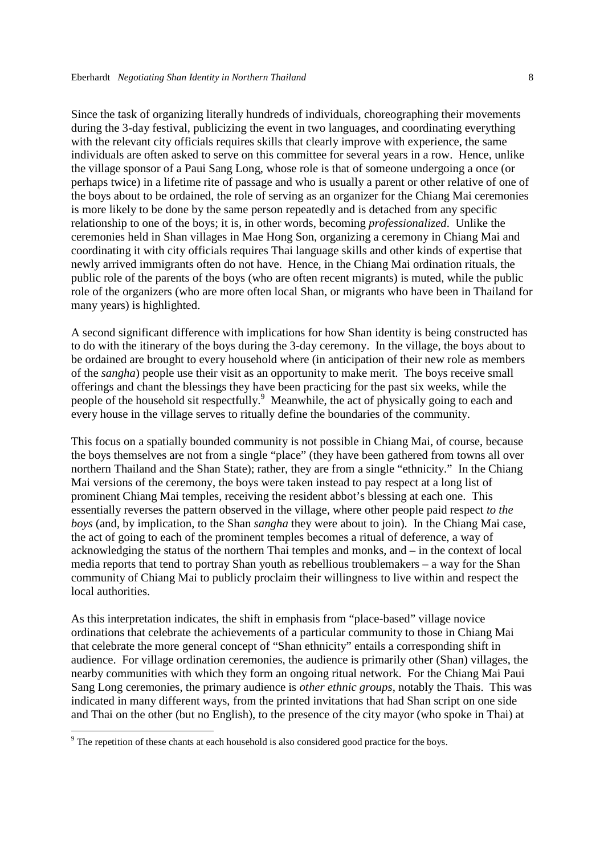Since the task of organizing literally hundreds of individuals, choreographing their movements during the 3-day festival, publicizing the event in two languages, and coordinating everything with the relevant city officials requires skills that clearly improve with experience, the same individuals are often asked to serve on this committee for several years in a row. Hence, unlike the village sponsor of a Paui Sang Long, whose role is that of someone undergoing a once (or perhaps twice) in a lifetime rite of passage and who is usually a parent or other relative of one of the boys about to be ordained, the role of serving as an organizer for the Chiang Mai ceremonies is more likely to be done by the same person repeatedly and is detached from any specific relationship to one of the boys; it is, in other words, becoming *professionalized*. Unlike the ceremonies held in Shan villages in Mae Hong Son, organizing a ceremony in Chiang Mai and coordinating it with city officials requires Thai language skills and other kinds of expertise that newly arrived immigrants often do not have. Hence, in the Chiang Mai ordination rituals, the public role of the parents of the boys (who are often recent migrants) is muted, while the public role of the organizers (who are more often local Shan, or migrants who have been in Thailand for many years) is highlighted.

A second significant difference with implications for how Shan identity is being constructed has to do with the itinerary of the boys during the 3-day ceremony. In the village, the boys about to be ordained are brought to every household where (in anticipation of their new role as members of the *sangha*) people use their visit as an opportunity to make merit. The boys receive small offerings and chant the blessings they have been practicing for the past six weeks, while the people of the household sit respectfully.<sup>9</sup> Meanwhile, the act of physically going to each and every house in the village serves to ritually define the boundaries of the community.

This focus on a spatially bounded community is not possible in Chiang Mai, of course, because the boys themselves are not from a single "place" (they have been gathered from towns all over northern Thailand and the Shan State); rather, they are from a single "ethnicity." In the Chiang Mai versions of the ceremony, the boys were taken instead to pay respect at a long list of prominent Chiang Mai temples, receiving the resident abbot's blessing at each one. This essentially reverses the pattern observed in the village, where other people paid respect *to the boys* (and, by implication, to the Shan *sangha* they were about to join). In the Chiang Mai case, the act of going to each of the prominent temples becomes a ritual of deference, a way of acknowledging the status of the northern Thai temples and monks, and – in the context of local media reports that tend to portray Shan youth as rebellious troublemakers – a way for the Shan community of Chiang Mai to publicly proclaim their willingness to live within and respect the local authorities.

As this interpretation indicates, the shift in emphasis from "place-based" village novice ordinations that celebrate the achievements of a particular community to those in Chiang Mai that celebrate the more general concept of "Shan ethnicity" entails a corresponding shift in audience. For village ordination ceremonies, the audience is primarily other (Shan) villages, the nearby communities with which they form an ongoing ritual network. For the Chiang Mai Paui Sang Long ceremonies, the primary audience is *other ethnic groups*, notably the Thais. This was indicated in many different ways, from the printed invitations that had Shan script on one side and Thai on the other (but no English), to the presence of the city mayor (who spoke in Thai) at

-

 $9<sup>9</sup>$  The repetition of these chants at each household is also considered good practice for the boys.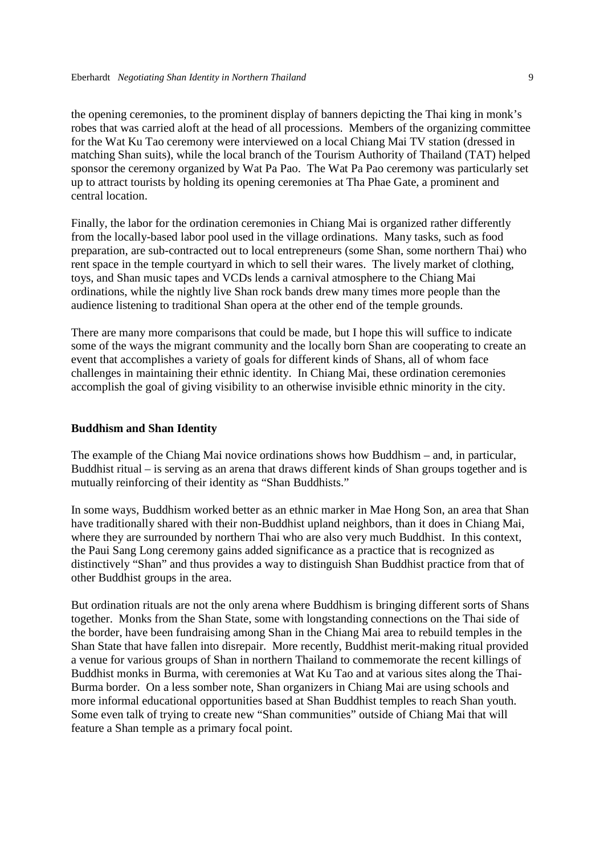the opening ceremonies, to the prominent display of banners depicting the Thai king in monk's robes that was carried aloft at the head of all processions. Members of the organizing committee for the Wat Ku Tao ceremony were interviewed on a local Chiang Mai TV station (dressed in matching Shan suits), while the local branch of the Tourism Authority of Thailand (TAT) helped sponsor the ceremony organized by Wat Pa Pao. The Wat Pa Pao ceremony was particularly set up to attract tourists by holding its opening ceremonies at Tha Phae Gate, a prominent and central location.

Finally, the labor for the ordination ceremonies in Chiang Mai is organized rather differently from the locally-based labor pool used in the village ordinations. Many tasks, such as food preparation, are sub-contracted out to local entrepreneurs (some Shan, some northern Thai) who rent space in the temple courtyard in which to sell their wares. The lively market of clothing, toys, and Shan music tapes and VCDs lends a carnival atmosphere to the Chiang Mai ordinations, while the nightly live Shan rock bands drew many times more people than the audience listening to traditional Shan opera at the other end of the temple grounds.

There are many more comparisons that could be made, but I hope this will suffice to indicate some of the ways the migrant community and the locally born Shan are cooperating to create an event that accomplishes a variety of goals for different kinds of Shans, all of whom face challenges in maintaining their ethnic identity. In Chiang Mai, these ordination ceremonies accomplish the goal of giving visibility to an otherwise invisible ethnic minority in the city.

# **Buddhism and Shan Identity**

The example of the Chiang Mai novice ordinations shows how Buddhism – and, in particular, Buddhist ritual – is serving as an arena that draws different kinds of Shan groups together and is mutually reinforcing of their identity as "Shan Buddhists."

In some ways, Buddhism worked better as an ethnic marker in Mae Hong Son, an area that Shan have traditionally shared with their non-Buddhist upland neighbors, than it does in Chiang Mai, where they are surrounded by northern Thai who are also very much Buddhist. In this context, the Paui Sang Long ceremony gains added significance as a practice that is recognized as distinctively "Shan" and thus provides a way to distinguish Shan Buddhist practice from that of other Buddhist groups in the area.

But ordination rituals are not the only arena where Buddhism is bringing different sorts of Shans together. Monks from the Shan State, some with longstanding connections on the Thai side of the border, have been fundraising among Shan in the Chiang Mai area to rebuild temples in the Shan State that have fallen into disrepair. More recently, Buddhist merit-making ritual provided a venue for various groups of Shan in northern Thailand to commemorate the recent killings of Buddhist monks in Burma, with ceremonies at Wat Ku Tao and at various sites along the Thai-Burma border. On a less somber note, Shan organizers in Chiang Mai are using schools and more informal educational opportunities based at Shan Buddhist temples to reach Shan youth. Some even talk of trying to create new "Shan communities" outside of Chiang Mai that will feature a Shan temple as a primary focal point.